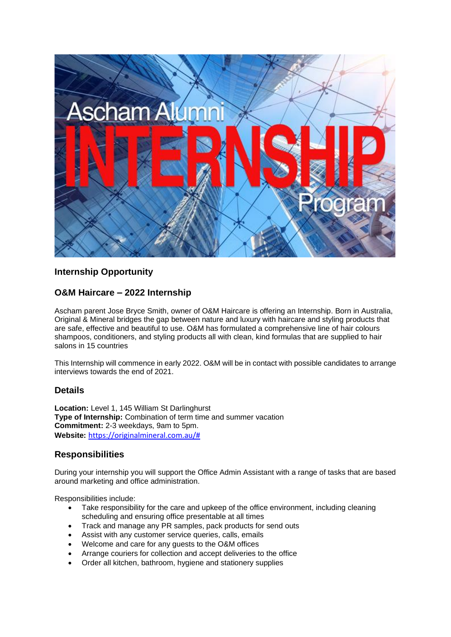

# **Internship Opportunity**

# **O&M Haircare – 2022 Internship**

Ascham parent Jose Bryce Smith, owner of O&M Haircare is offering an Internship. Born in Australia, Original & Mineral bridges the gap between nature and luxury with haircare and styling products that are safe, effective and beautiful to use. O&M has formulated a comprehensive line of hair colours shampoos, conditioners, and styling products all with clean, kind formulas that are supplied to hair salons in 15 countries

This Internship will commence in early 2022. O&M will be in contact with possible candidates to arrange interviews towards the end of 2021.

### **Details**

**Location:** Level 1, 145 William St Darlinghurst **Type of Internship:** Combination of term time and summer vacation **Commitment:** 2-3 weekdays, 9am to 5pm. **Website:** [https://originalmineral.com.au/#](https://originalmineral.com.au/)

# **Responsibilities**

During your internship you will support the Office Admin Assistant with a range of tasks that are based around marketing and office administration.

Responsibilities include:

- Take responsibility for the care and upkeep of the office environment, including cleaning scheduling and ensuring office presentable at all times
- Track and manage any PR samples, pack products for send outs
- Assist with any customer service queries, calls, emails
- Welcome and care for any guests to the O&M offices
- Arrange couriers for collection and accept deliveries to the office
- Order all kitchen, bathroom, hygiene and stationery supplies